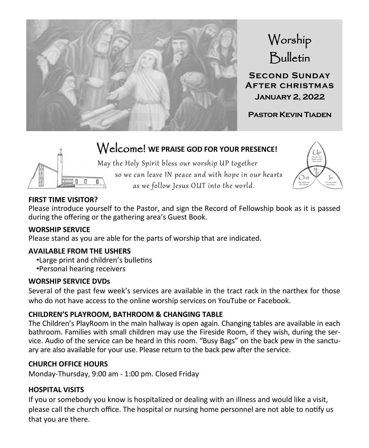



**Second Sunday After christmas January 2, 2022**

**Pastor Kevin Tiaden**

# Welcome! **WE PRAISE GOD FOR YOUR PRESENCE!**



 May the Holy Spirit bless our worship UP together so we can leave IN peace and with hope in our hearts as we follow Jesus OUT into the world.



#### **FIRST TIME VISITOR?**

Please introduce yourself to the Pastor, and sign the Record of Fellowship book as it is passed during the offering or the gathering area's Guest Book.

#### **WORSHIP SERVICE**

Please stand as you are able for the parts of worship that are indicated.

#### **AVAILABLE FROM THE USHERS**

- •Large print and children's bulletins
- •Personal hearing receivers

#### **WORSHIP SERVICE DVDs**

Several of the past few week's services are available in the tract rack in the narthex for those who do not have access to the online worship services on YouTube or Facebook.

#### **CHILDREN'S PLAYROOM, BATHROOM & CHANGING TABLE**

The Children's PlayRoom in the main hallway is open again. Changing tables are available in each bathroom. Families with small children may use the Fireside Room, if they wish, during the service. Audio of the service can be heard in this room. "Busy Bags" on the back pew in the sanctuary are also available for your use. Please return to the back pew after the service.

#### **CHURCH OFFICE HOURS**

Monday-Thursday, 9:00 am - 1:00 pm. Closed Friday

#### **HOSPITAL VISITS**

If you or somebody you know is hospitalized or dealing with an illness and would like a visit, please call the church office. The hospital or nursing home personnel are not able to notify us that you are there.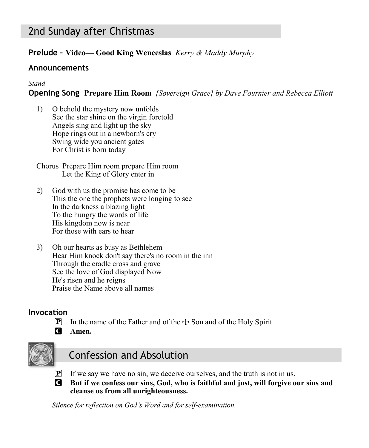# 2nd Sunday after Christmas

# **Prelude – Video— Good King Wenceslas** *Kerry & Maddy Murphy*

#### **Announcements**

#### *Stand*

## **Opening Song Prepare Him Room** *[Sovereign Grace] by Dave Fournier and Rebecca Elliott*

1) O behold the mystery now unfolds See the star shine on the virgin foretold Angels sing and light up the sky Hope rings out in a newborn's cry Swing wide you ancient gates For Christ is born today

Chorus Prepare Him room prepare Him room Let the King of Glory enter in

- 2) God with us the promise has come to be This the one the prophets were longing to see In the darkness a blazing light To the hungry the words of life His kingdom now is near For those with ears to hear
- 3) Oh our hearts as busy as Bethlehem Hear Him knock don't say there's no room in the inn Through the cradle cross and grave See the love of God displayed Now He's risen and he reigns Praise the Name above all names

#### **Invocation**

- **P** In the name of the Father and of the  $\pm$  Son and of the Holy Spirit.
- C **Amen.**



# Confession and Absolution

- $\mathbf{P}$  If we say we have no sin, we deceive ourselves, and the truth is not in us.
- C **But if we confess our sins, God, who is faithful and just, will forgive our sins and cleanse us from all unrighteousness.**

*Silence for reflection on God's Word and for self-examination.*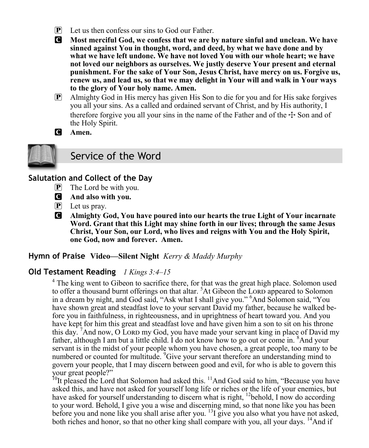- P Let us then confess our sins to God our Father.
- C **Most merciful God, we confess that we are by nature sinful and unclean. We have sinned against You in thought, word, and deed, by what we have done and by what we have left undone. We have not loved You with our whole heart; we have not loved our neighbors as ourselves. We justly deserve Your present and eternal punishment. For the sake of Your Son, Jesus Christ, have mercy on us. Forgive us, renew us, and lead us, so that we may delight in Your will and walk in Your ways to the glory of Your holy name. Amen.**
- P Almighty God in His mercy has given His Son to die for you and for His sake forgives you all your sins. As a called and ordained servant of Christ, and by His authority, I therefore forgive you all your sins in the name of the Father and of the  $\pm$  Son and of the Holy Spirit.
- C **Amen.**



# Service of the Word

#### **Salutation and Collect of the Day**

- $\mathbf{P}$  The Lord be with you.
- C **And also with you.**
- $\left| \mathbf{P} \right|$  Let us pray.
- C **Almighty God, You have poured into our hearts the true Light of Your incarnate Word. Grant that this Light may shine forth in our lives; through the same Jesus Christ, Your Son, our Lord, who lives and reigns with You and the Holy Spirit, one God, now and forever. Amen.**

#### **Hymn of Praise Video—Silent Night** *Kerry & Maddy Murphy*

#### **Old Testament Reading** *1 Kings 3:4–15*

 $4$  The king went to Gibeon to sacrifice there, for that was the great high place. Solomon used to offer a thousand burnt offerings on that altar.  ${}^{5}$ At Gibeon the Lord appeared to Solomon in a dream by night, and God said, "Ask what I shall give you." <sup>6</sup>And Solomon said, "You have shown great and steadfast love to your servant David my father, because he walked before you in faithfulness, in righteousness, and in uprightness of heart toward you. And you have kept for him this great and steadfast love and have given him a son to sit on his throne this day. And now, O Lord my God, you have made your servant king in place of David my father, although I am but a little child. I do not know how to go out or come in. <sup>8</sup>And your servant is in the midst of your people whom you have chosen, a great people, too many to be numbered or counted for multitude. <sup>9</sup>Give your servant therefore an understanding mind to govern your people, that I may discern between good and evil, for who is able to govern this your great people?"

<sup>10</sup>It pleased the Lord that Solomon had asked this. <sup>11</sup>And God said to him, "Because you have asked this, and have not asked for yourself long life or riches or the life of your enemies, but have asked for yourself understanding to discern what is right, <sup>12</sup>behold, I now do according to your word. Behold, I give you a wise and discerning mind, so that none like you has been before you and none like you shall arise after you. <sup>13</sup>I give you also what you have not asked, both riches and honor, so that no other king shall compare with you, all your days. <sup>14</sup>And if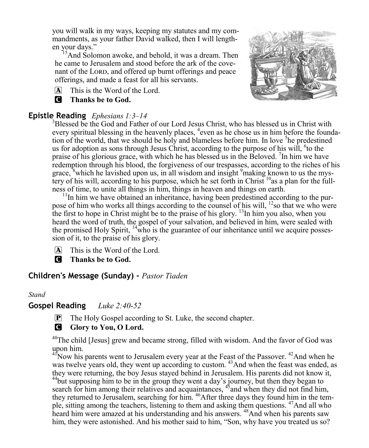you will walk in my ways, keeping my statutes and my commandments, as your father David walked, then I will lengthen your days."

<sup>15</sup>And Solomon awoke, and behold, it was a dream. Then he came to Jerusalem and stood before the ark of the covenant of the LORD, and offered up burnt offerings and peace offerings, and made a feast for all his servants.

 $\overline{A}$  This is the Word of the Lord.



# **Epistle Reading** *Ephesians 1:3–14*

<sup>3</sup>Blessed be the God and Father of our Lord Jesus Christ, who has blessed us in Christ with every spiritual blessing in the heavenly places, <sup>4</sup>even as he chose us in him before the foundation of the world, that we should be holy and blameless before him. In love <sup>5</sup>he predestined us for adoption as sons through Jesus Christ, according to the purpose of his will,  $6$  to the praise of his glorious grace, with which he has blessed us in the Beloved. <sup>7</sup>In him we have redemption through his blood, the forgiveness of our trespasses, according to the riches of his grace,  $8$ which he lavished upon us, in all wisdom and insight  $9$ making known to us the mystery of his will, according to his purpose, which he set forth in Christ<sup>10</sup> as a plan for the fullness of time, to unite all things in him, things in heaven and things on earth.

 $11$ In him we have obtained an inheritance, having been predestined according to the purpose of him who works all things according to the counsel of his will,  $12$  so that we who were the first to hope in Christ might be to the praise of his glory. <sup>13</sup>In him you also, when you heard the word of truth, the gospel of your salvation, and believed in him, were sealed with the promised Holy Spirit,  $14$ <sup>w</sup> who is the guarantee of our inheritance until we acquire possession of it, to the praise of his glory.

A This is the Word of the Lord.

C **Thanks be to God.**

#### **Children's Message (Sunday) -** *Pastor Tiaden*

#### *Stand*

#### **Gospel Reading** *Luke 2:40-52*

P The Holy Gospel according to St. Luke, the second chapter.

**G** Glory to You, O Lord.

 $40$ The child [Jesus] grew and became strong, filled with wisdom. And the favor of God was upon him.

 $41\text{N}$  Now his parents went to Jerusalem every year at the Feast of the Passover.  $42\text{A}$ nd when he was twelve years old, they went up according to custom. <sup>43</sup>And when the feast was ended, as they were returning, the boy Jesus stayed behind in Jerusalem. His parents did not know it, <sup>44</sup>but supposing him to be in the group they went a day's journey, but then they began to search for him among their relatives and acquaintances,  $45$  and when they did not find him, they returned to Jerusalem, searching for him. <sup>46</sup>After three days they found him in the temple, sitting among the teachers, listening to them and asking them questions. <sup>47</sup>And all who heard him were amazed at his understanding and his answers. <sup>48</sup>And when his parents saw him, they were astonished. And his mother said to him, "Son, why have you treated us so?

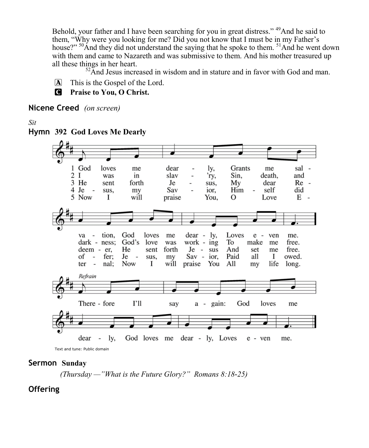Behold, your father and I have been searching for you in great distress." <sup>49</sup>And he said to them, "Why were you looking for me? Did you not know that I must be in my Father's house?" <sup>50</sup>And they did not understand the saying that he spoke to them. <sup>51</sup>And he went down with them and came to Nazareth and was submissive to them. And his mother treasured up all these things in her heart.

 $52\text{\textdegree}$  And Jesus increased in wisdom and in stature and in favor with God and man.

A This is the Gospel of the Lord.

C **Praise to You, O Christ.**

**Nicene Creed** *(on screen)*

#### *Sit*



**Hymn 392 God Loves Me Dearly**

# **Sermon Sunday**

*(Thursday —"What is the Future Glory?" Romans 8:18-25)*

**Offering**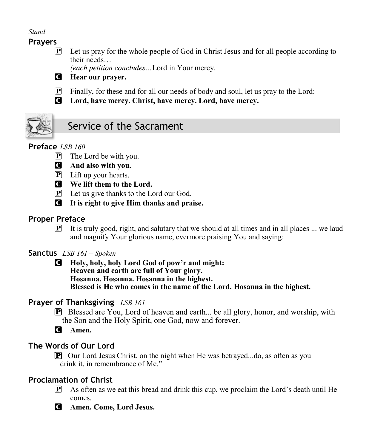#### *Stand*

# **Prayers**

 $\mathbb{P}$  Let us pray for the whole people of God in Christ Jesus and for all people according to their needs…

*(each petition concludes…*Lord in Your mercy.

- C **Hear our prayer.**
- $\mathbf{P}$  Finally, for these and for all our needs of body and soul, let us pray to the Lord:
- C **Lord, have mercy. Christ, have mercy. Lord, have mercy.**



# Service of the Sacrament

# **Preface** *LSB 160*

- $\mathbf{P}$  The Lord be with you.
- C **And also with you.**
- $\overline{P}$  Lift up your hearts.
- C **We lift them to the Lord.**
- P Let us give thanks to the Lord our God.
- C **It is right to give Him thanks and praise.**

# **Proper Preface**

 $\mathbf{P}$  It is truly good, right, and salutary that we should at all times and in all places ... we laud and magnify Your glorious name, evermore praising You and saying:

#### **Sanctus** *LSB 161 – Spoken*

C **Holy, holy, holy Lord God of pow'r and might: Heaven and earth are full of Your glory. Hosanna. Hosanna. Hosanna in the highest. Blessed is He who comes in the name of the Lord. Hosanna in the highest.**

## **Prayer of Thanksgiving** *LSB 161*

P Blessed are You, Lord of heaven and earth... be all glory, honor, and worship, with the Son and the Holy Spirit, one God, now and forever.

C **Amen.**

# **The Words of Our Lord**

P Our Lord Jesus Christ, on the night when He was betrayed...do, as often as you drink it, in remembrance of Me."

# **Proclamation of Christ**

 $\mathbf{P}$  As often as we eat this bread and drink this cup, we proclaim the Lord's death until He comes.

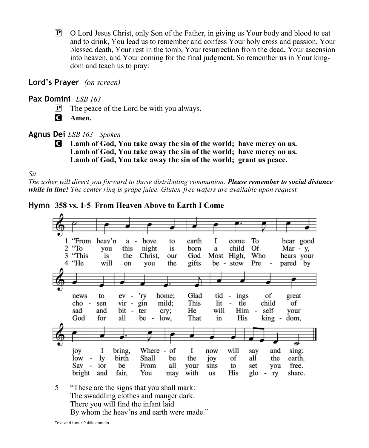P O Lord Jesus Christ, only Son of the Father, in giving us Your body and blood to eat and to drink, You lead us to remember and confess Your holy cross and passion, Your blessed death, Your rest in the tomb, Your resurrection from the dead, Your ascension into heaven, and Your coming for the final judgment. So remember us in Your kingdom and teach us to pray:

#### **Lord's Prayer** *(on screen)*

#### **Pax Domini** *LSB 163*

- $\mathbf{P}$  The peace of the Lord be with you always.
- C **Amen.**

#### **Agnus Dei** *LSB 163—Spoken*

C **Lamb of God, You take away the sin of the world; have mercy on us. Lamb of God, You take away the sin of the world; have mercy on us. Lamb of God, You take away the sin of the world; grant us peace.**

#### *Sit*

*The usher will direct you forward to those distributing communion. Please remember to social distance while in line! The center ring is grape juice. Gluten-free wafers are available upon request.*

**Hymn 358 vs. 1-5 From Heaven Above to Earth I Come**



- The swaddling clothes and manger dark.
	- There you will find the infant laid
- By whom the heav'ns and earth were made."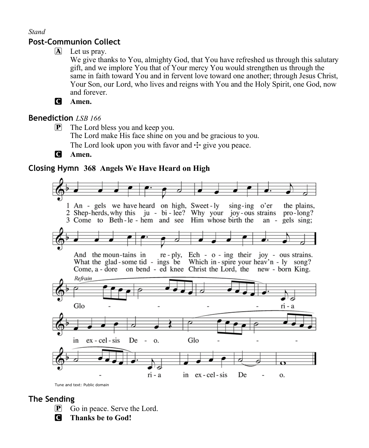#### *Stand*

# **Post-Communion Collect**

 $\mathbf{\overline{A}}$  Let us pray.

We give thanks to You, almighty God, that You have refreshed us through this salutary gift, and we implore You that of Your mercy You would strengthen us through the same in faith toward You and in fervent love toward one another; through Jesus Christ, Your Son, our Lord, who lives and reigns with You and the Holy Spirit, one God, now and forever.



#### C **Amen.**

#### **Benediction** *LSB 166*

P The Lord bless you and keep you.

The Lord make His face shine on you and be gracious to you.

The Lord look upon you with favor and  $\pm$  give you peace.

C **Amen.**

# **Closing Hymn 368 Angels We Have Heard on High**



Tune and text: Public domain

## **The Sending**

- P Go in peace. Serve the Lord.
- C **Thanks be to God!**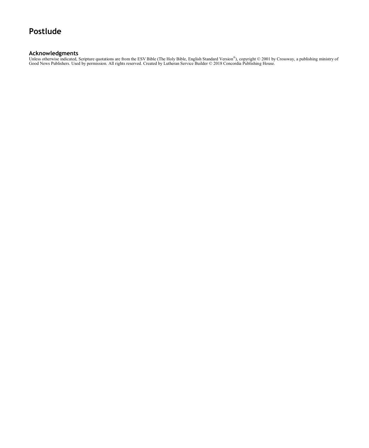# **Postlude**

**Acknowledgments**<br>Unless otherwise indicated, Scripture quotations are from the ESV Bible (The Holy Bible, English Standard Version®), copyright © 2001 by Crossway, a publishing ministry of<br>Good News Publishers. Used by pe